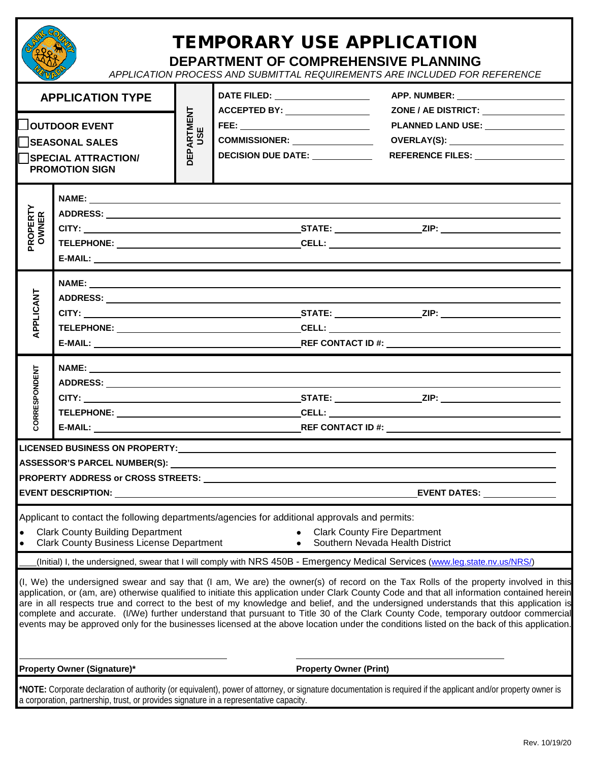|                                                                                                                                                                                                                                                                       |  | <b>TEMPORARY USE APPLICATION</b><br><b>DEPARTMENT OF COMPREHENSIVE PLANNING</b><br>APPLICATION PROCESS AND SUBMITTAL REQUIREMENTS ARE INCLUDED FOR REFERENCE |                                                                                                                                                                                                                                                                                                                                            |                               |                                                                                                                                                                                                                                                                                                                                                                                                                                                                                                                                                                                                                                                                                                                                                                                                                                                |  |  |  |  |  |
|-----------------------------------------------------------------------------------------------------------------------------------------------------------------------------------------------------------------------------------------------------------------------|--|--------------------------------------------------------------------------------------------------------------------------------------------------------------|--------------------------------------------------------------------------------------------------------------------------------------------------------------------------------------------------------------------------------------------------------------------------------------------------------------------------------------------|-------------------------------|------------------------------------------------------------------------------------------------------------------------------------------------------------------------------------------------------------------------------------------------------------------------------------------------------------------------------------------------------------------------------------------------------------------------------------------------------------------------------------------------------------------------------------------------------------------------------------------------------------------------------------------------------------------------------------------------------------------------------------------------------------------------------------------------------------------------------------------------|--|--|--|--|--|
| <b>APPLICATION TYPE</b>                                                                                                                                                                                                                                               |  |                                                                                                                                                              | DATE FILED: ____________________                                                                                                                                                                                                                                                                                                           |                               | APP. NUMBER: NAME APP. NUMBER:                                                                                                                                                                                                                                                                                                                                                                                                                                                                                                                                                                                                                                                                                                                                                                                                                 |  |  |  |  |  |
| <b>SEASONAL SALES</b><br><b>SPECIAL ATTRACTION/</b><br><b>PROMOTION SIGN</b>                                                                                                                                                                                          |  | ARTMENT<br>USE<br>읎                                                                                                                                          | <b>ACCEPTED BY: _________________</b><br>FEE: _____________________________<br>COMMISSIONER: NAME ON THE STATE OF STATE OF STATE OF STATE OF STATE OF STATE OF STATE OF STATE OF STATE OF STATE OF STATE OF STATE OF STATE OF STATE OF STATE OF STATE OF STATE OF STATE OF STATE OF STATE OF STATE OF STATE O<br><b>DECISION DUE DATE:</b> |                               | PLANNED LAND USE: NAMEL AND THE STATE OF STATE AND THE STATE OF STATE OF STATE OF STATE OF STATE OF STATE OF STATE OF STATE OF STATE OF STATE OF STATE OF STATE OF STATE OF STATE OF STATE OF STATE OF STATE OF STATE OF STATE                                                                                                                                                                                                                                                                                                                                                                                                                                                                                                                                                                                                                 |  |  |  |  |  |
| PROPERTY<br>OWNER                                                                                                                                                                                                                                                     |  |                                                                                                                                                              |                                                                                                                                                                                                                                                                                                                                            |                               |                                                                                                                                                                                                                                                                                                                                                                                                                                                                                                                                                                                                                                                                                                                                                                                                                                                |  |  |  |  |  |
| APPLICANT                                                                                                                                                                                                                                                             |  |                                                                                                                                                              |                                                                                                                                                                                                                                                                                                                                            |                               |                                                                                                                                                                                                                                                                                                                                                                                                                                                                                                                                                                                                                                                                                                                                                                                                                                                |  |  |  |  |  |
| CORRESPONDENT                                                                                                                                                                                                                                                         |  |                                                                                                                                                              |                                                                                                                                                                                                                                                                                                                                            |                               |                                                                                                                                                                                                                                                                                                                                                                                                                                                                                                                                                                                                                                                                                                                                                                                                                                                |  |  |  |  |  |
| <b>LICENSED BUSINESS ON PROPERTY:</b><br>EVENT DATES: _______________                                                                                                                                                                                                 |  |                                                                                                                                                              |                                                                                                                                                                                                                                                                                                                                            |                               |                                                                                                                                                                                                                                                                                                                                                                                                                                                                                                                                                                                                                                                                                                                                                                                                                                                |  |  |  |  |  |
| Applicant to contact the following departments/agencies for additional approvals and permits:<br><b>Clark County Building Department</b><br><b>Clark County Fire Department</b><br><b>Clark County Business License Department</b><br>Southern Nevada Health District |  |                                                                                                                                                              |                                                                                                                                                                                                                                                                                                                                            |                               |                                                                                                                                                                                                                                                                                                                                                                                                                                                                                                                                                                                                                                                                                                                                                                                                                                                |  |  |  |  |  |
|                                                                                                                                                                                                                                                                       |  |                                                                                                                                                              |                                                                                                                                                                                                                                                                                                                                            |                               | (Initial) I, the undersigned, swear that I will comply with NRS 450B - Emergency Medical Services (www.leg.state.nv.us/NRS/)<br>(I, We) the undersigned swear and say that (I am, We are) the owner(s) of record on the Tax Rolls of the property involved in this<br>application, or (am, are) otherwise qualified to initiate this application under Clark County Code and that all information contained herein<br>are in all respects true and correct to the best of my knowledge and belief, and the undersigned understands that this application is<br>complete and accurate. (I/We) further understand that pursuant to Title 30 of the Clark County Code, temporary outdoor commercial<br>events may be approved only for the businesses licensed at the above location under the conditions listed on the back of this application. |  |  |  |  |  |
| <b>Property Owner (Signature)*</b>                                                                                                                                                                                                                                    |  |                                                                                                                                                              |                                                                                                                                                                                                                                                                                                                                            | <b>Property Owner (Print)</b> |                                                                                                                                                                                                                                                                                                                                                                                                                                                                                                                                                                                                                                                                                                                                                                                                                                                |  |  |  |  |  |

**\*NOTE:** Corporate declaration of authority (or equivalent), power of attorney, or signature documentation is required if the applicant and/or property owner is a corporation, partnership, trust, or provides signature in a representative capacity.